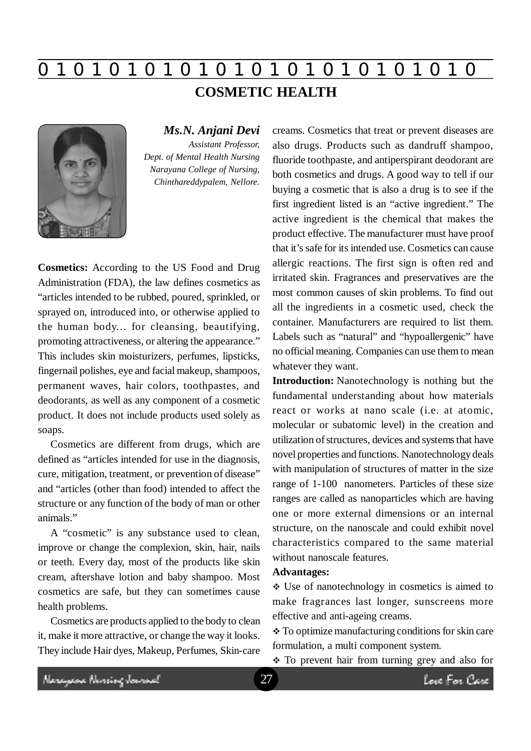# **0 z 0 z 0 z 0 z 0 z 0 z 0 z 0 z 0 z 0 z 0 z 0 z 0**

**COSMETIC HEALTH**



*Ms.N. Anjani Devi Assistant Professor, Dept. of Mental Health Nursing Narayana College of Nursing, Chinthareddypalem, Nellore.*

**Cosmetics:** According to the US Food and Drug Administration (FDA), the law defines cosmetics as "articles intended to be rubbed, poured, sprinkled, or sprayed on, introduced into, or otherwise applied to the human body... for cleansing, beautifying, promoting attractiveness, or altering the appearance." This includes skin moisturizers, perfumes, lipsticks, fingernail polishes, eye and facial makeup, shampoos, permanent waves, hair colors, toothpastes, and deodorants, as well as any component of a cosmetic product. It does not include products used solely as soaps.

Cosmetics are different from drugs, which are defined as "articles intended for use in the diagnosis, cure, mitigation, treatment, or prevention of disease" and "articles (other than food) intended to affect the structure or any function of the body of man or other animals."

A "cosmetic" is any substance used to clean, improve or change the complexion, skin, hair, nails or teeth. Every day, most of the products like skin cream, aftershave lotion and baby shampoo. Most cosmetics are safe, but they can sometimes cause health problems.

Cosmetics are products applied to the body to clean it, make it more attractive, or change the way it looks. They include Hair dyes, Makeup, Perfumes, Skin-care creams. Cosmetics that treat or prevent diseases are also drugs. Products such as dandruff shampoo, fluoride toothpaste, and antiperspirant deodorant are both cosmetics and drugs. A good way to tell if our buying a cosmetic that is also a drug is to see if the first ingredient listed is an "active ingredient." The active ingredient is the chemical that makes the product effective. The manufacturer must have proof that it's safe for its intended use. Cosmetics can cause allergic reactions. The first sign is often red and irritated skin. Fragrances and preservatives are the most common causes of skin problems. To find out all the ingredients in a cosmetic used, check the container. Manufacturers are required to list them. Labels such as "natural" and "hypoallergenic" have no official meaning. Companies can use them to mean whatever they want.

**Introduction:** Nanotechnology is nothing but the fundamental understanding about how materials react or works at nano scale (i.e. at atomic, molecular or subatomic level) in the creation and utilization of structures, devices and systems that have novel properties and functions. Nanotechnology deals with manipulation of structures of matter in the size range of 1-100 nanometers. Particles of these size ranges are called as nanoparticles which are having one or more external dimensions or an internal structure, on the nanoscale and could exhibit novel characteristics compared to the same material without nanoscale features.

## **Advantages:**

 Use of nanotechnology in cosmetics is aimed to make fragrances last longer, sunscreens more effective and anti-ageing creams.

\* To optimize manufacturing conditions for skin care formulation, a multi component system.

To prevent hair from turning grey and also for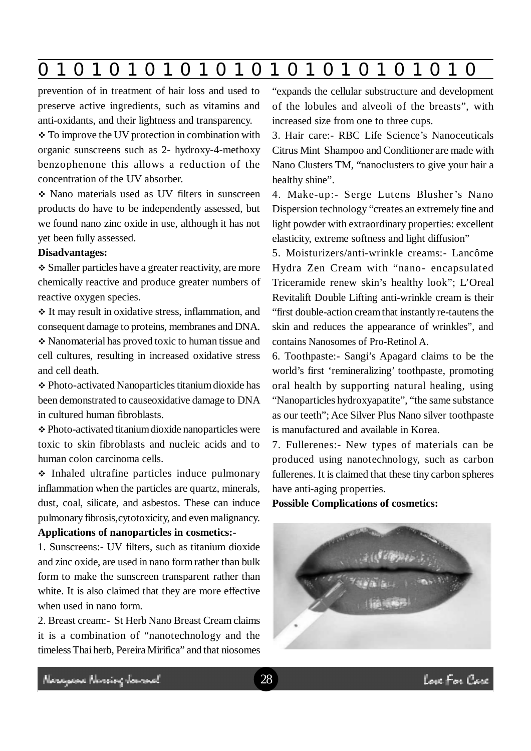|  | $\mathbf 0$ | $\blacksquare$ |  |  |  |  |  |  |  |  |  |  |  |
|--|-------------|----------------|--|--|--|--|--|--|--|--|--|--|--|
|--|-------------|----------------|--|--|--|--|--|--|--|--|--|--|--|

prevention of in treatment of hair loss and used to preserve active ingredients, such as vitamins and anti-oxidants, and their lightness and transparency.

• To improve the UV protection in combination with organic sunscreens such as 2- hydroxy-4-methoxy benzophenone this allows a reduction of the concentration of the UV absorber.

 Nano materials used as UV filters in sunscreen products do have to be independently assessed, but we found nano zinc oxide in use, although it has not yet been fully assessed.

## **Disadvantages:**

 Smaller particles have a greater reactivity, are more chemically reactive and produce greater numbers of reactive oxygen species.

 It may result in oxidative stress, inflammation, and consequent damage to proteins, membranes and DNA. Nanomaterial has proved toxic to human tissue and cell cultures, resulting in increased oxidative stress and cell death.

 Photo-activated Nanoparticles titanium dioxide has been demonstrated to causeoxidative damage to DNA in cultured human fibroblasts.

 Photo-activated titanium dioxide nanoparticles were toxic to skin fibroblasts and nucleic acids and to human colon carcinoma cells.

 $\cdot$  Inhaled ultrafine particles induce pulmonary inflammation when the particles are quartz, minerals, dust, coal, silicate, and asbestos. These can induce pulmonary fibrosis,cytotoxicity, and even malignancy. **Applications of nanoparticles in cosmetics:-**

1. Sunscreens:- UV filters, such as titanium dioxide and zinc oxide, are used in nano form rather than bulk form to make the sunscreen transparent rather than white. It is also claimed that they are more effective when used in nano form.

2. Breast cream:- St Herb Nano Breast Cream claims it is a combination of "nanotechnology and the timeless Thai herb, Pereira Mirifica" and that niosomes "expands the cellular substructure and development of the lobules and alveoli of the breasts", with increased size from one to three cups.

3. Hair care:- RBC Life Science's Nanoceuticals Citrus Mint Shampoo and Conditioner are made with Nano Clusters TM, "nanoclusters to give your hair a healthy shine".

4. Make-up:- Serge Lutens Blusher's Nano Dispersion technology "creates an extremely fine and light powder with extraordinary properties: excellent elasticity, extreme softness and light diffusion"

5. Moisturizers/anti-wrinkle creams:- Lancôme Hydra Zen Cream with "nano- encapsulated Triceramide renew skin's healthy look"; L'Oreal Revitalift Double Lifting anti-wrinkle cream is their "first double-action cream that instantly re-tautens the skin and reduces the appearance of wrinkles", and contains Nanosomes of Pro-Retinol A.

6. Toothpaste:- Sangi's Apagard claims to be the world's first 'remineralizing' toothpaste, promoting oral health by supporting natural healing, using "Nanoparticles hydroxyapatite", "the same substance as our teeth"; Ace Silver Plus Nano silver toothpaste is manufactured and available in Korea.

7. Fullerenes:- New types of materials can be produced using nanotechnology, such as carbon fullerenes. It is claimed that these tiny carbon spheres have anti-aging properties.

# **Possible Complications of cosmetics:**

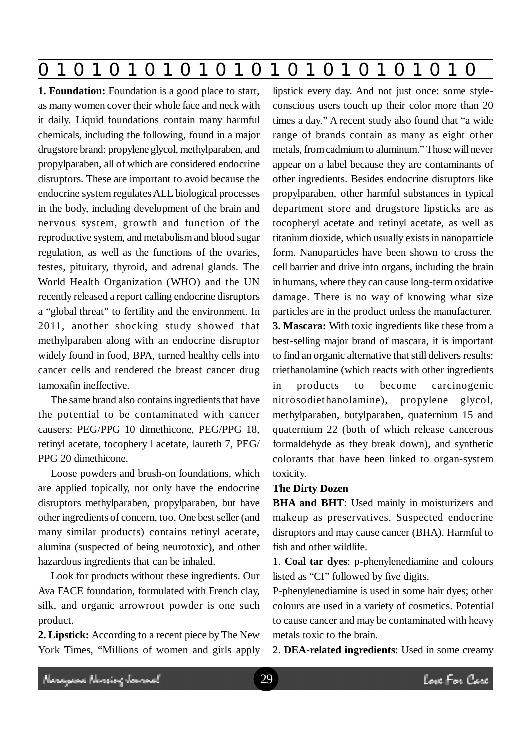|--|

**1. Foundation:** Foundation is a good place to start, as many women cover their whole face and neck with it daily. Liquid foundations contain many harmful chemicals, including the following, found in a major drugstore brand: propylene glycol, methylparaben, and propylparaben, all of which are considered endocrine disruptors. These are important to avoid because the endocrine system regulates ALL biological processes in the body, including development of the brain and nervous system, growth and function of the reproductive system, and metabolism and blood sugar regulation, as well as the functions of the ovaries, testes, pituitary, thyroid, and adrenal glands. The World Health Organization (WHO) and the UN recently released a report calling endocrine disruptors a "global threat" to fertility and the environment. In 2011, another shocking study showed that methylparaben along with an endocrine disruptor widely found in food, BPA, turned healthy cells into cancer cells and rendered the breast cancer drug tamoxafin ineffective.

The same brand also contains ingredients that have the potential to be contaminated with cancer causers: PEG/PPG 10 dimethicone, PEG/PPG 18, retinyl acetate, tocophery l acetate, laureth 7, PEG/ PPG 20 dimethicone.

Loose powders and brush-on foundations, which are applied topically, not only have the endocrine disruptors methylparaben, propylparaben, but have other ingredients of concern, too. One best seller (and many similar products) contains retinyl acetate, alumina (suspected of being neurotoxic), and other hazardous ingredients that can be inhaled.

Look for products without these ingredients. Our Ava FACE foundation, formulated with French clay, silk, and organic arrowroot powder is one such product.

**2. Lipstick:** According to a recent piece by The New York Times, "Millions of women and girls apply lipstick every day. And not just once: some styleconscious users touch up their color more than 20 times a day." A recent study also found that "a wide range of brands contain as many as eight other metals, from cadmium to aluminum." Those will never appear on a label because they are contaminants of other ingredients. Besides endocrine disruptors like propylparaben, other harmful substances in typical department store and drugstore lipsticks are as tocopheryl acetate and retinyl acetate, as well as titanium dioxide, which usually exists in nanoparticle form. Nanoparticles have been shown to cross the cell barrier and drive into organs, including the brain in humans, where they can cause long-term oxidative damage. There is no way of knowing what size particles are in the product unless the manufacturer. **3. Mascara:** With toxic ingredients like these from a best-selling major brand of mascara, it is important to find an organic alternative that still delivers results: triethanolamine (which reacts with other ingredients in products to become carcinogenic nitrosodiethanolamine), propylene glycol, methylparaben, butylparaben, quaternium 15 and quaternium 22 (both of which release cancerous formaldehyde as they break down), and synthetic colorants that have been linked to organ-system toxicity.

#### **The Dirty Dozen**

**BHA and BHT**: Used mainly in moisturizers and makeup as preservatives. Suspected endocrine disruptors and may cause cancer (BHA). Harmful to fish and other wildlife.

1. **Coal tar dyes**: p-phenylenediamine and colours listed as "CI" followed by five digits.

P-phenylenediamine is used in some hair dyes; other colours are used in a variety of cosmetics. Potential to cause cancer and may be contaminated with heavy metals toxic to the brain.

2. **DEA-related ingredients**: Used in some creamy